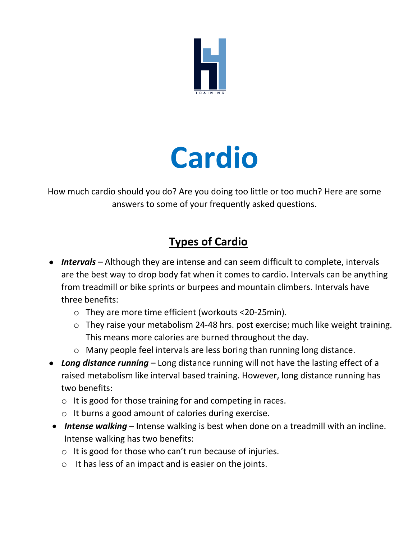

# **Cardio**

How much cardio should you do? Are you doing too little or too much? Here are some answers to some of your frequently asked questions.

## **Types of Cardio**

- *Intervals –* Although they are intense and can seem difficult to complete, intervals are the best way to drop body fat when it comes to cardio. Intervals can be anything from treadmill or bike sprints or burpees and mountain climbers. Intervals have three benefits:
	- o They are more time efficient (workouts <20-25min).
	- o They raise your metabolism 24-48 hrs. post exercise; much like weight training. This means more calories are burned throughout the day.
	- o Many people feel intervals are less boring than running long distance.
- *Long distance running* Long distance running will not have the lasting effect of a raised metabolism like interval based training. However, long distance running has two benefits:
	- o It is good for those training for and competing in races.
	- o It burns a good amount of calories during exercise.
- *Intense walking* Intense walking is best when done on a treadmill with an incline. Intense walking has two benefits:
	- o It is good for those who can't run because of injuries.
	- o It has less of an impact and is easier on the joints.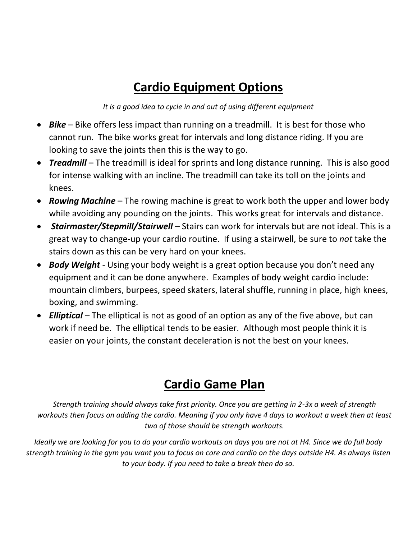# **Cardio Equipment Options**

*It is a good idea to cycle in and out of using different equipment*

- *Bike* Bike offers less impact than running on a treadmill. It is best for those who cannot run. The bike works great for intervals and long distance riding. If you are looking to save the joints then this is the way to go.
- **Treadmill** The treadmill is ideal for sprints and long distance running. This is also good for intense walking with an incline. The treadmill can take its toll on the joints and knees.
- *Rowing Machine*  The rowing machine is great to work both the upper and lower body while avoiding any pounding on the joints. This works great for intervals and distance.
- *Stairmaster/Stepmill/Stairwell*  Stairs can work for intervals but are not ideal. This is a great way to change-up your cardio routine. If using a stairwell, be sure to *not* take the stairs down as this can be very hard on your knees.
- *Body Weight*  Using your body weight is a great option because you don't need any equipment and it can be done anywhere. Examples of body weight cardio include: mountain climbers, burpees, speed skaters, lateral shuffle, running in place, high knees, boxing, and swimming.
- **Elliptical** The elliptical is not as good of an option as any of the five above, but can work if need be. The elliptical tends to be easier. Although most people think it is easier on your joints, the constant deceleration is not the best on your knees.

# **Cardio Game Plan**

*Strength training should always take first priority. Once you are getting in 2-3x a week of strength workouts then focus on adding the cardio. Meaning if you only have 4 days to workout a week then at least two of those should be strength workouts.*

*Ideally we are looking for you to do your cardio workouts on days you are not at H4. Since we do full body strength training in the gym you want you to focus on core and cardio on the days outside H4. As always listen to your body. If you need to take a break then do so.*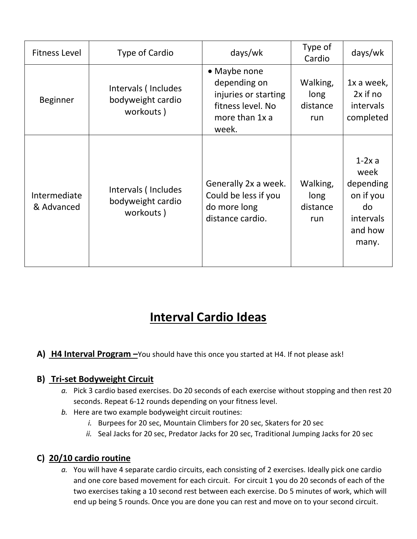| <b>Fitness Level</b>       | Type of Cardio                                        | days/wk                                                                                              | Type of<br>Cardio                   | days/wk                                                                           |
|----------------------------|-------------------------------------------------------|------------------------------------------------------------------------------------------------------|-------------------------------------|-----------------------------------------------------------------------------------|
| <b>Beginner</b>            | Intervals (Includes<br>bodyweight cardio<br>workouts) | • Maybe none<br>depending on<br>injuries or starting<br>fitness level. No<br>more than 1x a<br>week. | Walking,<br>long<br>distance<br>run | 1x a week,<br>2x if no<br>intervals<br>completed                                  |
| Intermediate<br>& Advanced | Intervals (Includes<br>bodyweight cardio<br>workouts) | Generally 2x a week.<br>Could be less if you<br>do more long<br>distance cardio.                     | Walking,<br>long<br>distance<br>run | $1-2x$ a<br>week<br>depending<br>on if you<br>do<br>intervals<br>and how<br>many. |

# **Interval Cardio Ideas**

#### **A) H4 Interval Program –**You should have this once you started at H4. If not please ask!

#### **B) Tri-set Bodyweight Circuit**

- *a.* Pick 3 cardio based exercises. Do 20 seconds of each exercise without stopping and then rest 20 seconds. Repeat 6-12 rounds depending on your fitness level.
- *b.* Here are two example bodyweight circuit routines:
	- *i.* Burpees for 20 sec, Mountain Climbers for 20 sec, Skaters for 20 sec
	- *ii.* Seal Jacks for 20 sec, Predator Jacks for 20 sec, Traditional Jumping Jacks for 20 sec

#### **C) 20/10 cardio routine**

*a.* You will have 4 separate cardio circuits, each consisting of 2 exercises. Ideally pick one cardio and one core based movement for each circuit. For circuit 1 you do 20 seconds of each of the two exercises taking a 10 second rest between each exercise. Do 5 minutes of work, which will end up being 5 rounds. Once you are done you can rest and move on to your second circuit.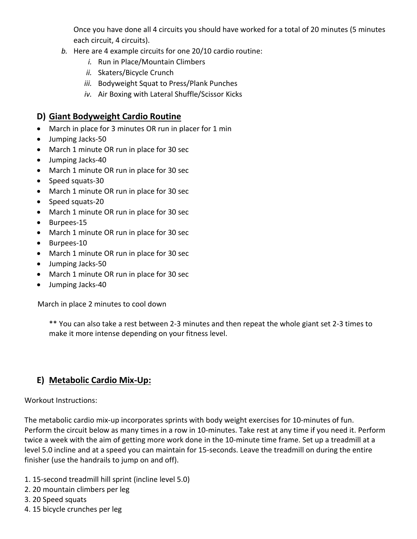Once you have done all 4 circuits you should have worked for a total of 20 minutes (5 minutes each circuit, 4 circuits).

- *b.* Here are 4 example circuits for one 20/10 cardio routine:
	- *i.* Run in Place/Mountain Climbers
	- *ii.* Skaters/Bicycle Crunch
	- *iii.* Bodyweight Squat to Press/Plank Punches
	- *iv.* Air Boxing with Lateral Shuffle/Scissor Kicks

#### **D) Giant Bodyweight Cardio Routine**

- March in place for 3 minutes OR run in placer for 1 min
- Jumping Jacks-50
- March 1 minute OR run in place for 30 sec
- Jumping Jacks-40
- March 1 minute OR run in place for 30 sec
- Speed squats-30
- March 1 minute OR run in place for 30 sec
- Speed squats-20
- March 1 minute OR run in place for 30 sec
- Burpees-15
- March 1 minute OR run in place for 30 sec
- Burpees-10
- March 1 minute OR run in place for 30 sec
- Jumping Jacks-50
- March 1 minute OR run in place for 30 sec
- Jumping Jacks-40

March in place 2 minutes to cool down

\*\* You can also take a rest between 2-3 minutes and then repeat the whole giant set 2-3 times to make it more intense depending on your fitness level.

#### **E) Metabolic Cardio Mix-Up:**

Workout Instructions:

The metabolic cardio mix-up incorporates sprints with body weight exercises for 10-minutes of fun. Perform the circuit below as many times in a row in 10-minutes. Take rest at any time if you need it. Perform twice a week with the aim of getting more work done in the 10-minute time frame. Set up a treadmill at a level 5.0 incline and at a speed you can maintain for 15-seconds. Leave the treadmill on during the entire finisher (use the handrails to jump on and off).

- 1. 15-second treadmill hill sprint (incline level 5.0)
- 2. 20 mountain climbers per leg
- 3. 20 Speed squats
- 4. 15 bicycle crunches per leg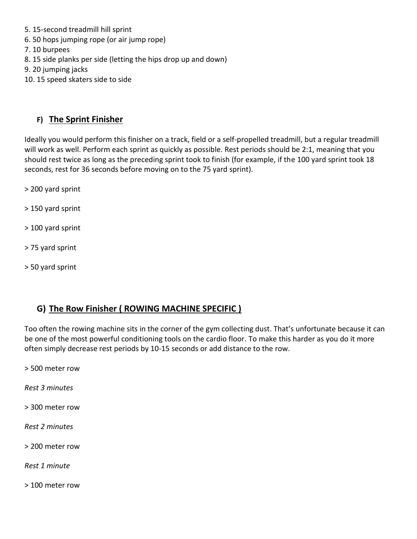- 5. 15-second treadmill hill sprint
- 6. 50 hops jumping rope (or air jump rope)
- 7. 10 burpees
- 8. 15 side planks per side (letting the hips drop up and down)
- 9. 20 jumping jacks
- 10. 15 speed skaters side to side

#### **F) The Sprint Finisher**

Ideally you would perform this finisher on a track, field or a self-propelled treadmill, but a regular treadmill will work as well. Perform each sprint as quickly as possible. Rest periods should be 2:1, meaning that you should rest twice as long as the preceding sprint took to finish (for example, if the 100 yard sprint took 18 seconds, rest for 36 seconds before moving on to the 75 yard sprint).

- > 200 yard sprint
- > 150 yard sprint
- > 100 yard sprint
- > 75 yard sprint
- > 50 yard sprint

#### **G) The Row Finisher ( ROWING MACHINE SPECIFIC )**

Too often the rowing machine sits in the corner of the gym collecting dust. That's unfortunate because it can be one of the most powerful conditioning tools on the cardio floor. To make this harder as you do it more often simply decrease rest periods by 10-15 seconds or add distance to the row.

> 500 meter row

*Rest 3 minutes*

> 300 meter row

*Rest 2 minutes*

> 200 meter row

*Rest 1 minute*

> 100 meter row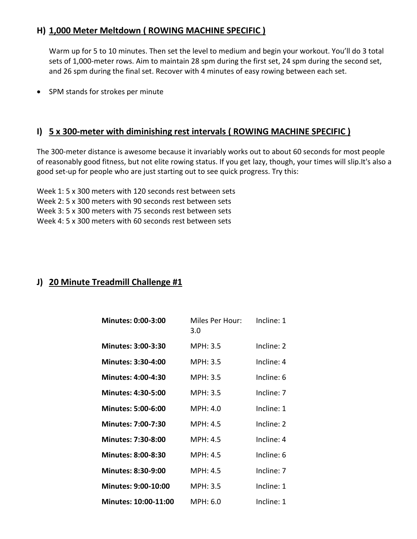#### **H) 1,000 Meter Meltdown ( ROWING MACHINE SPECIFIC )**

Warm up for 5 to 10 minutes. Then set the level to medium and begin your workout. You'll do 3 total sets of 1,000-meter rows. Aim to maintain 28 spm during the first set, 24 spm during the second set, and 26 spm during the final set. Recover with 4 minutes of easy rowing between each set.

• SPM stands for strokes per minute

#### **I) 5 x 300-meter with diminishing rest intervals ( ROWING MACHINE SPECIFIC )**

The 300-meter distance is awesome because it invariably works out to about 60 seconds for most people of reasonably good fitness, but not elite rowing status. If you get lazy, though, your times will slip.It's also a good set-up for people who are just starting out to see quick progress. Try this:

Week 1: 5 x 300 meters with 120 seconds rest between sets Week 2: 5 x 300 meters with 90 seconds rest between sets Week 3: 5 x 300 meters with 75 seconds rest between sets

Week 4: 5 x 300 meters with 60 seconds rest between sets

#### **J) 20 Minute Treadmill Challenge #1**

| <b>Minutes: 0:00-3:00</b>  | Miles Per Hour:<br>3.0 | Incline: 1   |
|----------------------------|------------------------|--------------|
| <b>Minutes: 3:00-3:30</b>  | MPH: 3.5               | Incline: 2   |
| <b>Minutes: 3:30-4:00</b>  | MPH: 3.5               | $Incline: 4$ |
| <b>Minutes: 4:00-4:30</b>  | MPH: 3.5               | Incline: 6   |
| <b>Minutes: 4:30-5:00</b>  | MPH: 3.5               | Incline: 7   |
| <b>Minutes: 5:00-6:00</b>  | MPH: 4.0               | Incline: 1   |
| <b>Minutes: 7:00-7:30</b>  | MPH: 4.5               | Incline: 2   |
| <b>Minutes: 7:30-8:00</b>  | MPH: 4.5               | Incline: 4   |
| <b>Minutes: 8:00-8:30</b>  | MPH: 4.5               | Incline: 6   |
| <b>Minutes: 8:30-9:00</b>  | MPH: 4.5               | Incline: 7   |
| <b>Minutes: 9:00-10:00</b> | MPH: 3.5               | Incline: 1   |
| Minutes: 10:00-11:00       | MPH: 6.0               | Incline: 1   |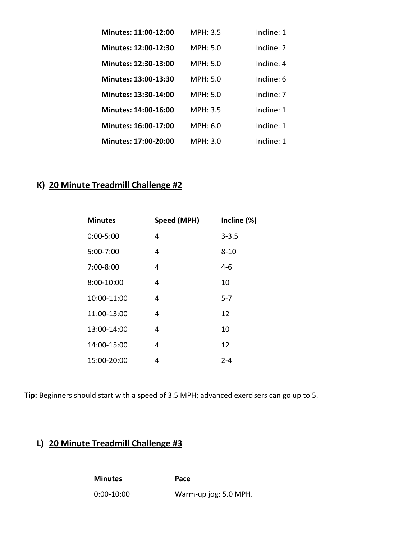| Minutes: 11:00-12:00        | <b>MPH: 3.5</b> | Incline: 1 |
|-----------------------------|-----------------|------------|
| Minutes: 12:00-12:30        | MPH: 5.0        | Incline: 2 |
| Minutes: 12:30-13:00        | MPH: 5.0        | Incline: 4 |
| Minutes: 13:00-13:30        | MPH: 5.0        | Incline: 6 |
| Minutes: 13:30-14:00        | MPH: 5.0        | Incline: 7 |
| Minutes: 14:00-16:00        | MPH: 3.5        | Incline: 1 |
| Minutes: 16:00-17:00        | MPH: 6.0        | Incline: 1 |
| <b>Minutes: 17:00-20:00</b> | MPH: 3.0        | Incline: 1 |

## **K) 20 Minute Treadmill Challenge #2**

| <b>Minutes</b> | Speed (MPH) | Incline (%) |
|----------------|-------------|-------------|
| $0:00 - 5:00$  | 4           | $3 - 3.5$   |
| 5:00-7:00      | 4           | $8 - 10$    |
| 7:00-8:00      | 4           | 4-6         |
| 8:00-10:00     | 4           | 10          |
| 10:00-11:00    | 4           | 5-7         |
| 11:00-13:00    | 4           | 12          |
| 13:00-14:00    | 4           | 10          |
| 14:00-15:00    | 4           | 12          |
| 15:00-20:00    | 4           | $2 - 4$     |

**Tip:** Beginners should start with a speed of 3.5 MPH; advanced exercisers can go up to 5.

#### **L) 20 Minute Treadmill Challenge #3**

**Minutes Pace** 0:00-10:00 Warm-up jog; 5.0 MPH.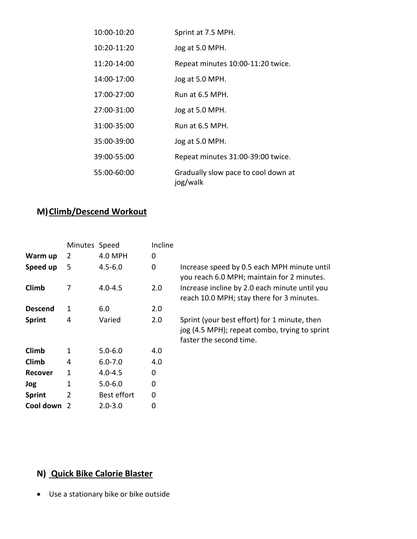| 10:00-10:20     | Sprint at 7.5 MPH.                              |
|-----------------|-------------------------------------------------|
| $10:20 - 11:20$ | Jog at 5.0 MPH.                                 |
| $11:20 - 14:00$ | Repeat minutes 10:00-11:20 twice.               |
| 14:00-17:00     | Jog at 5.0 MPH.                                 |
| $17:00 - 27:00$ | Run at 6.5 MPH.                                 |
| 27:00-31:00     | Jog at 5.0 MPH.                                 |
| 31:00-35:00     | Run at 6.5 MPH.                                 |
| 35:00-39:00     | Jog at 5.0 MPH.                                 |
| 39:00-55:00     | Repeat minutes 31:00-39:00 twice.               |
| 55:00-60:00     | Gradually slow pace to cool down at<br>jog/walk |

## **M)** Climb/Descend Workout

|                | Minutes Speed |             | Incline |                                                                                                                          |
|----------------|---------------|-------------|---------|--------------------------------------------------------------------------------------------------------------------------|
| Warm up        | 2             | 4.0 MPH     | 0       |                                                                                                                          |
| Speed up       | 5             | $4.5 - 6.0$ | 0       | Increase speed by 0.5 each MPH minute until<br>you reach 6.0 MPH; maintain for 2 minutes.                                |
| Climb          | 7             | $4.0 - 4.5$ | 2.0     | Increase incline by 2.0 each minute until you<br>reach 10.0 MPH; stay there for 3 minutes.                               |
| <b>Descend</b> | 1             | 6.0         | 2.0     |                                                                                                                          |
| <b>Sprint</b>  | 4             | Varied      | 2.0     | Sprint (your best effort) for 1 minute, then<br>jog (4.5 MPH); repeat combo, trying to sprint<br>faster the second time. |
| Climb          | 1             | $5.0 - 6.0$ | 4.0     |                                                                                                                          |
| Climb          | 4             | $6.0 - 7.0$ | 4.0     |                                                                                                                          |
| <b>Recover</b> | 1             | $4.0 - 4.5$ | 0       |                                                                                                                          |
| Jog            | 1             | $5.0 - 6.0$ | 0       |                                                                                                                          |
| <b>Sprint</b>  | 2             | Best effort | 0       |                                                                                                                          |
| Cool down      |               | $2.0 - 3.0$ | 0       |                                                                                                                          |

## **N) Quick Bike Calorie Blaster**

Use a stationary bike or bike outside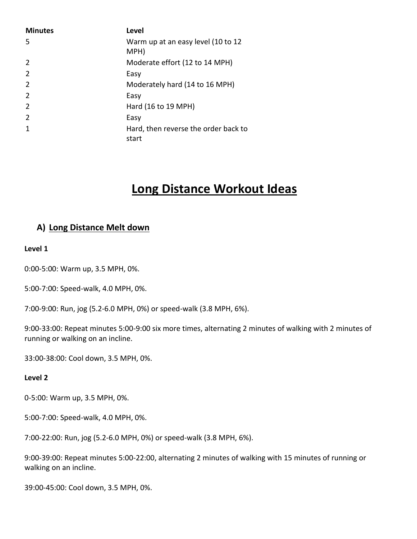| <b>Minutes</b> | <b>Level</b>                                  |
|----------------|-----------------------------------------------|
| 5              | Warm up at an easy level (10 to 12<br>MPH)    |
| 2              | Moderate effort (12 to 14 MPH)                |
| $\overline{2}$ | Easy                                          |
| $\overline{2}$ | Moderately hard (14 to 16 MPH)                |
| $\overline{2}$ | Easy                                          |
| 2              | Hard (16 to 19 MPH)                           |
| $\overline{2}$ | Easy                                          |
| 1              | Hard, then reverse the order back to<br>start |

## **Long Distance Workout Ideas**

#### **A) Long Distance Melt down**

#### **Level 1**

0:00-5:00: Warm up, 3.5 MPH, 0%.

5:00-7:00: Speed-walk, 4.0 MPH, 0%.

7:00-9:00: Run, jog (5.2-6.0 MPH, 0%) or speed-walk (3.8 MPH, 6%).

9:00-33:00: Repeat minutes 5:00-9:00 six more times, alternating 2 minutes of walking with 2 minutes of running or walking on an incline.

33:00-38:00: Cool down, 3.5 MPH, 0%.

#### **Level 2**

0-5:00: Warm up, 3.5 MPH, 0%.

5:00-7:00: Speed-walk, 4.0 MPH, 0%.

7:00-22:00: Run, jog (5.2-6.0 MPH, 0%) or speed-walk (3.8 MPH, 6%).

9:00-39:00: Repeat minutes 5:00-22:00, alternating 2 minutes of walking with 15 minutes of running or walking on an incline.

39:00-45:00: Cool down, 3.5 MPH, 0%.